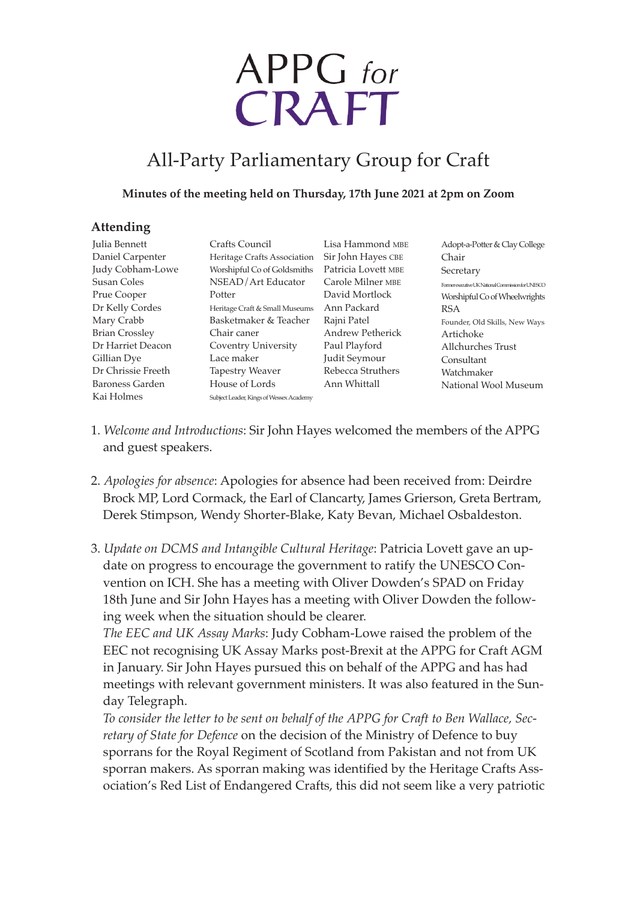# APPG for<br>CRAFT

# All-Party Parliamentary Group for Craft

#### **Minutes of the meeting held on Thursday, 17th June 2021 at 2pm on Zoom**

## **Attending**

| Julia Bennett          | Crafts Council                          | Lisa Han   |
|------------------------|-----------------------------------------|------------|
| Daniel Carpenter       | Heritage Crafts Association             | Sir John l |
| Judy Cobham-Lowe       | Worshipful Co of Goldsmiths             | Patricia I |
| Susan Coles            | NSEAD/Art Educator                      | Carole M   |
| Prue Cooper            | Potter                                  | David M    |
| Dr Kelly Cordes        | Heritage Craft & Small Museums          | Ann Pacl   |
| Mary Crabb             | Basketmaker & Teacher                   | Rajni Pat  |
| <b>Brian Crossley</b>  | Chair caner                             | Andrew     |
| Dr Harriet Deacon      | Coventry University                     | Paul Play  |
| Gillian Dye            | Lace maker                              | Judit Sey  |
| Dr Chrissie Freeth     | <b>Tapestry Weaver</b>                  | Rebecca 9  |
| <b>Baroness Garden</b> | House of Lords                          | Ann Whi    |
| Kai Holmes             | Subject Leader, Kings of Wessex Academy |            |
|                        |                                         |            |

nmond MBE Hayes CBE Lovett mbe Iilner mbe **Iortlock** kard tel Petherick vford  $\mu$ mour Struthers ittall

Adopt-a-Potter & Clay College Chair Secretary Former executive UK National Commission for UNESCO Worshipful Co of Wheelwrights RSA Founder, Old Skills, New Ways Artichoke Allchurches Trust Consultant Watchmaker National Wool Museum

- 1. *Welcome and Introductions*: Sir John Hayes welcomed the members of the APPG and guest speakers.
- 2. *Apologies for absence*: Apologies for absence had been received from: Deirdre Brock MP, Lord Cormack, the Earl of Clancarty, James Grierson, Greta Bertram, Derek Stimpson, Wendy Shorter-Blake, Katy Bevan, Michael Osbaldeston.
- 3. *Update on DCMS and Intangible Cultural Heritage*: Patricia Lovett gave an update on progress to encourage the government to ratify the UNESCO Convention on ICH. She has a meeting with Oliver Dowden's SPAD on Friday 18th June and Sir John Hayes has a meeting with Oliver Dowden the following week when the situation should be clearer.

*The EEC and UK Assay Marks*: Judy Cobham-Lowe raised the problem of the EEC not recognising UK Assay Marks post-Brexit at the APPG for Craft AGM in January. Sir John Hayes pursued this on behalf of the APPG and has had meetings with relevant government ministers. It was also featured in the Sunday Telegraph.

*To consider the letter to be sent on behalf of the APPG for Craft to Ben Wallace, Secretary of State for Defence* on the decision of the Ministry of Defence to buy sporrans for the Royal Regiment of Scotland from Pakistan and not from UK sporran makers. As sporran making was identified by the Heritage Crafts Association's Red List of Endangered Crafts, this did not seem like a very patriotic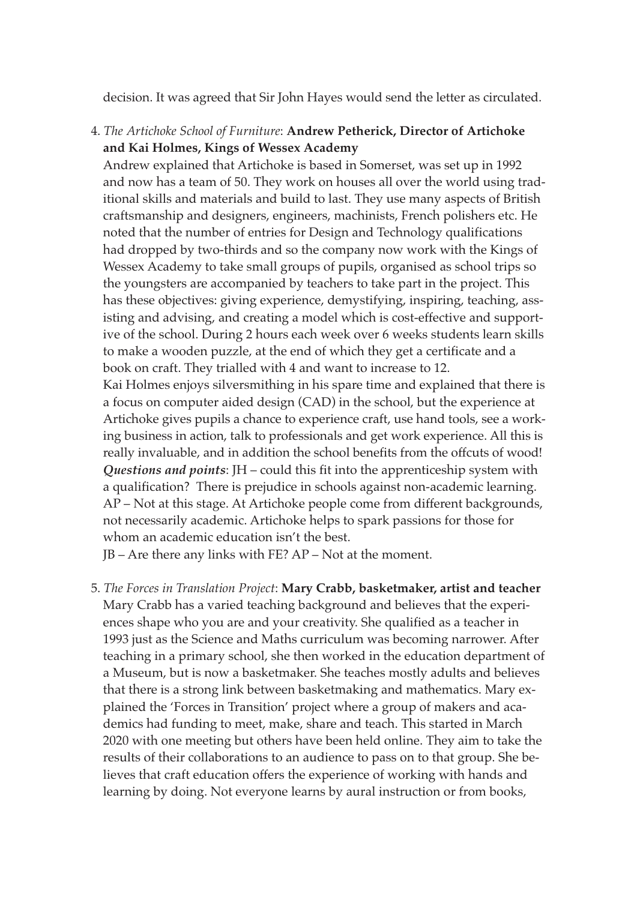decision. It was agreed that Sir John Hayes would send the letter as circulated.

4. *The Artichoke School of Furniture*: **Andrew Petherick, Director of Artichoke and Kai Holmes, Kings of Wessex Academy**

Andrew explained that Artichoke is based in Somerset, was set up in 1992 and now has a team of 50. They work on houses all over the world using traditional skills and materials and build to last. They use many aspects of British craftsmanship and designers, engineers, machinists, French polishers etc. He noted that the number of entries for Design and Technology qualifications had dropped by two-thirds and so the company now work with the Kings of Wessex Academy to take small groups of pupils, organised as school trips so the youngsters are accompanied by teachers to take part in the project. This has these objectives: giving experience, demystifying, inspiring, teaching, assisting and advising, and creating a model which is cost-effective and supportive of the school. During 2 hours each week over 6 weeks students learn skills to make a wooden puzzle, at the end of which they get a certificate and a book on craft. They trialled with 4 and want to increase to 12.

Kai Holmes enjoys silversmithing in his spare time and explained that there is a focus on computer aided design (CAD) in the school, but the experience at Artichoke gives pupils a chance to experience craft, use hand tools, see a working business in action, talk to professionals and get work experience. All this is really invaluable, and in addition the school benefits from the offcuts of wood! *Questions and points*: JH – could this fit into the apprenticeship system with a qualification? There is prejudice in schools against non-academic learning. AP – Not at this stage. At Artichoke people come from different backgrounds, not necessarily academic. Artichoke helps to spark passions for those for whom an academic education isn't the best.

JB – Are there any links with FE? AP – Not at the moment.

5. *The Forces in Translation Project*: **Mary Crabb, basketmaker, artist and teacher** Mary Crabb has a varied teaching background and believes that the experiences shape who you are and your creativity. She qualified as a teacher in 1993 just as the Science and Maths curriculum was becoming narrower. After teaching in a primary school, she then worked in the education department of a Museum, but is now a basketmaker. She teaches mostly adults and believes that there is a strong link between basketmaking and mathematics. Mary explained the 'Forces in Transition' project where a group of makers and academics had funding to meet, make, share and teach. This started in March 2020 with one meeting but others have been held online. They aim to take the results of their collaborations to an audience to pass on to that group. She believes that craft education offers the experience of working with hands and learning by doing. Not everyone learns by aural instruction or from books,